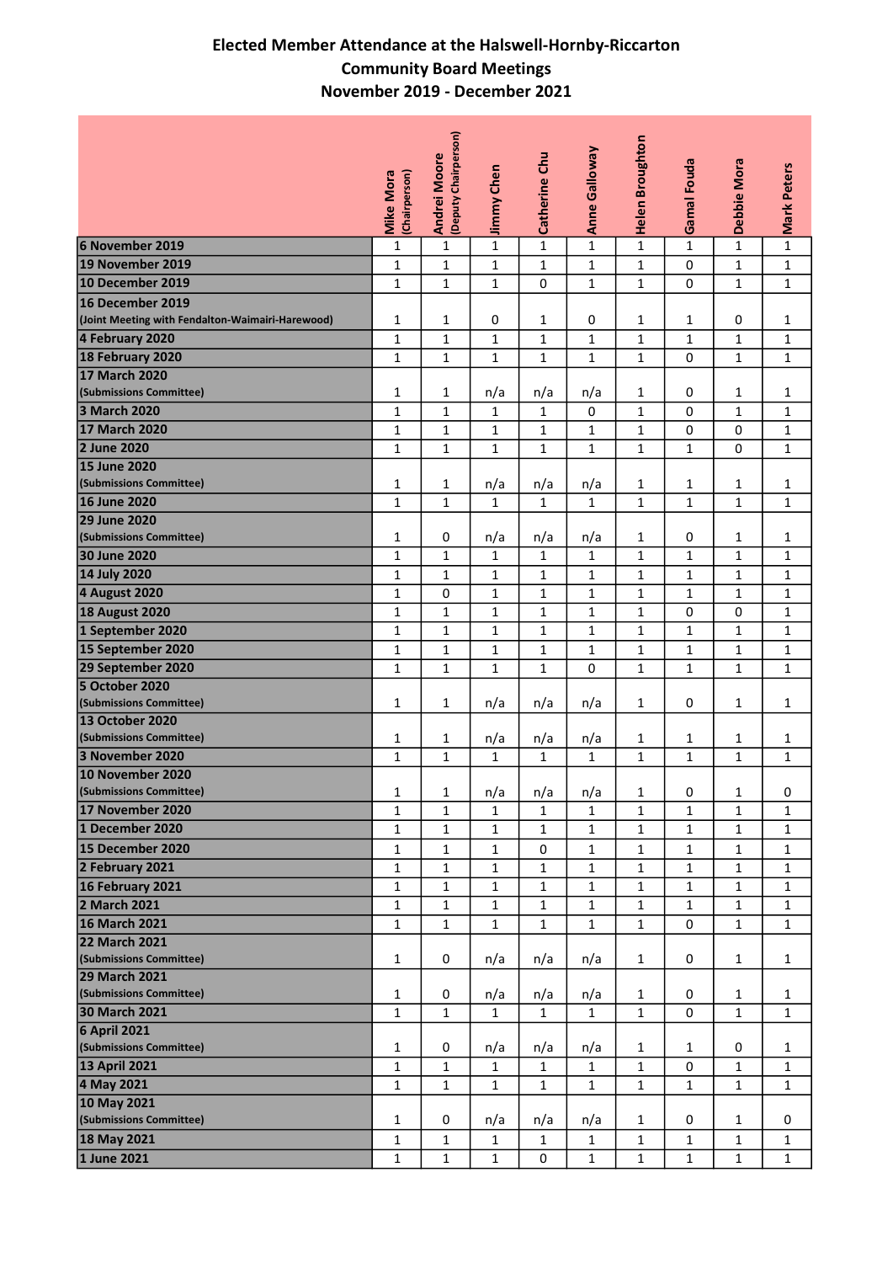## Elected Member Attendance at the Halswell-Hornby-Riccarton Community Board Meetings November 2019 - December 2021

|                                                  |                                   | Andrei Moore<br>(Deputy Chairperson) |              |               | <b>Anne Galloway</b> | <b>Helen Broughton</b> |                    |              |                    |
|--------------------------------------------------|-----------------------------------|--------------------------------------|--------------|---------------|----------------------|------------------------|--------------------|--------------|--------------------|
|                                                  | <b>Mike Mora</b><br>(Chairperson) |                                      | Jimmy Chen   | Catherine Chu |                      |                        | <b>Gamal Fouda</b> | Debbie Mora  | <b>Mark Peters</b> |
|                                                  |                                   |                                      |              |               |                      |                        |                    |              |                    |
| 6 November 2019                                  | $\mathbf{1}$                      | $\mathbf 1$                          | $\mathbf 1$  | $\mathbf{1}$  | $\mathbf{1}$         | $\mathbf 1$            | $\mathbf{1}$       | $\mathbf 1$  | $\mathbf 1$        |
| 19 November 2019                                 | $\mathbf 1$                       | $\mathbf 1$                          | $\mathbf 1$  | $\mathbf 1$   | $\mathbf{1}$         | $\mathbf 1$            | 0                  | $\mathbf 1$  | $\mathbf 1$        |
| 10 December 2019                                 | $\mathbf{1}$                      | $\mathbf{1}$                         | $\mathbf{1}$ | 0             | $\mathbf{1}$         | $\mathbf{1}$           | 0                  | $\mathbf{1}$ | $\mathbf{1}$       |
| 16 December 2019                                 |                                   |                                      |              |               |                      |                        |                    |              |                    |
| (Joint Meeting with Fendalton-Waimairi-Harewood) | 1                                 | $\mathbf{1}$                         | 0            | $\mathbf{1}$  | 0                    | $\mathbf{1}$           | $\mathbf{1}$       | 0            | $\mathbf{1}$       |
| 4 February 2020                                  | $\mathbf{1}$                      | $\mathbf{1}$                         | $\mathbf 1$  | $\mathbf{1}$  | $\mathbf{1}$         | $\mathbf{1}$           | $\mathbf 1$        | $\mathbf 1$  | $\mathbf{1}$       |
| 18 February 2020                                 | $\mathbf{1}$                      | $\mathbf{1}$                         | $\mathbf{1}$ | $\mathbf{1}$  | $\mathbf{1}$         | $\mathbf{1}$           | 0                  | $\mathbf{1}$ | $\mathbf{1}$       |
| <b>17 March 2020</b>                             |                                   |                                      |              |               |                      |                        |                    |              |                    |
| (Submissions Committee)                          | 1                                 | $\mathbf{1}$                         | n/a          | n/a           | n/a                  | $\mathbf{1}$           | 0                  | $\mathbf{1}$ | $\mathbf{1}$       |
| 3 March 2020                                     | $\mathbf{1}$                      | $\mathbf{1}$                         | $\mathbf{1}$ | $\mathbf{1}$  | 0                    | $\mathbf{1}$           | 0                  | $\mathbf 1$  | $\mathbf 1$        |
| <b>17 March 2020</b><br>2 June 2020              | $\mathbf 1$                       | $\mathbf{1}$                         | $\mathbf 1$  | $\mathbf 1$   | $\mathbf{1}$         | $\mathbf{1}$           | 0                  | 0            | $\mathbf{1}$       |
| 15 June 2020                                     | $\mathbf 1$                       | $\mathbf{1}$                         | $\mathbf{1}$ | $\mathbf{1}$  | $\mathbf{1}$         | $\mathbf{1}$           | $\mathbf{1}$       | 0            | $\mathbf{1}$       |
| (Submissions Committee)                          | $\mathbf 1$                       | $\mathbf{1}$                         | n/a          | n/a           | n/a                  | $\mathbf{1}$           | $\mathbf{1}$       | $\mathbf{1}$ | $\mathbf{1}$       |
| 16 June 2020                                     | $\mathbf{1}$                      | $\mathbf{1}$                         | $\mathbf{1}$ | $\mathbf{1}$  | $\mathbf{1}$         | $\mathbf{1}$           | $\mathbf{1}$       | $\mathbf{1}$ | $\mathbf{1}$       |
| 29 June 2020                                     |                                   |                                      |              |               |                      |                        |                    |              |                    |
| (Submissions Committee)                          | $\mathbf{1}$                      | 0                                    | n/a          | n/a           | n/a                  | $\mathbf{1}$           | 0                  | $\mathbf{1}$ | $\mathbf{1}$       |
| 30 June 2020                                     | $\mathbf{1}$                      | $\mathbf{1}$                         | $\mathbf{1}$ | $\mathbf{1}$  | $\mathbf{1}$         | $\mathbf{1}$           | $\mathbf{1}$       | $\mathbf 1$  | $\mathbf{1}$       |
| 14 July 2020                                     | $\mathbf 1$                       | $\mathbf{1}$                         | $\mathbf{1}$ | $\mathbf{1}$  | $\mathbf{1}$         | $\mathbf{1}$           | $\mathbf{1}$       | $\mathbf 1$  | $\mathbf{1}$       |
| 4 August 2020                                    | $\mathbf 1$                       | 0                                    | $\mathbf 1$  | $\mathbf 1$   | $\mathbf{1}$         | $\mathbf 1$            | $\mathbf{1}$       | $\mathbf 1$  | $\mathbf 1$        |
| <b>18 August 2020</b>                            | $\mathbf 1$                       | $\mathbf 1$                          | $\mathbf 1$  | $\mathbf 1$   | $\mathbf{1}$         | $\mathbf 1$            | 0                  | 0            | $\mathbf 1$        |
| 1 September 2020                                 | $\mathbf 1$                       | $\mathbf 1$                          | $\mathbf 1$  | $\mathbf 1$   | $\mathbf{1}$         | $\mathbf 1$            | $\mathbf 1$        | $\mathbf 1$  | $\mathbf 1$        |
| 15 September 2020                                | $\mathbf 1$                       | $\mathbf 1$                          | $\mathbf 1$  | $\mathbf{1}$  | $\mathbf{1}$         | $\mathbf 1$            | $\mathbf 1$        | $\mathbf 1$  | $\mathbf{1}$       |
| 29 September 2020                                | $\mathbf{1}$                      | $\mathbf{1}$                         | $\mathbf{1}$ | $\mathbf{1}$  | 0                    | $\mathbf{1}$           | $\mathbf{1}$       | $\mathbf{1}$ | $\mathbf{1}$       |
| 5 October 2020                                   |                                   |                                      |              |               |                      |                        |                    |              |                    |
| (Submissions Committee)                          | $\mathbf{1}$                      | $\mathbf{1}$                         | n/a          | n/a           | n/a                  | $\mathbf{1}$           | 0                  | $\mathbf{1}$ | $\mathbf{1}$       |
| <b>13 October 2020</b>                           |                                   |                                      |              |               |                      |                        |                    |              |                    |
| (Submissions Committee)                          | 1                                 | $\mathbf{1}$                         | n/a          | n/a           | n/a                  | $\mathbf{1}$           | 1                  | $\mathbf{1}$ | $\mathbf{1}$       |
| 3 November 2020                                  | $\mathbf 1$                       | $\mathbf 1$                          | $\mathbf 1$  | $\mathbf 1$   | $\mathbf{1}$         | $\mathbf 1$            | $\mathbf 1$        | $\mathbf 1$  | $\mathbf 1$        |
| 10 November 2020                                 |                                   |                                      |              |               |                      |                        |                    |              |                    |
| (Submissions Committee)                          | 1                                 | 1                                    | n/a          | n/a           | n/a                  | 1                      | 0                  | 1            | 0                  |
| 17 November 2020                                 | $\mathbf 1$                       | $\mathbf{1}$                         | $\mathbf{1}$ | $\mathbf{1}$  | $\mathbf{1}$         | $\mathbf 1$            | $\mathbf{1}$       | $\mathbf 1$  | $\mathbf{1}$       |
| 1 December 2020                                  | $\mathbf{1}$                      | $\mathbf{1}$                         | $\mathbf 1$  | $\mathbf{1}$  | $\mathbf{1}$         | $\mathbf 1$            | $\mathbf 1$        | $\mathbf{1}$ | $\mathbf{1}$       |
| 15 December 2020                                 | $\mathbf{1}$                      | $\mathbf{1}$                         | $\mathbf{1}$ | 0             | 1                    | 1                      | $\mathbf{1}$       | $\mathbf{1}$ | $\mathbf{1}$       |
| 2 February 2021                                  | $\mathbf{1}$                      | $\mathbf{1}$                         | $\mathbf{1}$ | $\mathbf{1}$  | $\mathbf{1}$         | $\mathbf{1}$           | $\mathbf{1}$       | $\mathbf{1}$ | $\mathbf{1}$       |
| 16 February 2021                                 | $\mathbf{1}$                      | $\mathbf{1}$                         | $\mathbf{1}$ | $\mathbf{1}$  | $\mathbf{1}$         | $\mathbf{1}$           | $\mathbf{1}$       | $\mathbf{1}$ | $\mathbf{1}$       |
| 2 March 2021                                     | $\mathbf{1}$                      | $\mathbf{1}$                         | $\mathbf{1}$ | $\mathbf{1}$  | $\mathbf{1}$         | $\mathbf{1}$           | $\mathbf{1}$       | $\mathbf 1$  | $\mathbf{1}$       |
| <b>16 March 2021</b>                             | $\mathbf 1$                       | $\mathbf{1}$                         | $\mathbf{1}$ | $\mathbf{1}$  | $\mathbf{1}$         | $\mathbf{1}$           | 0                  | $\mathbf{1}$ | $\mathbf{1}$       |
| <b>22 March 2021</b><br>(Submissions Committee)  |                                   |                                      |              |               |                      |                        |                    |              |                    |
| <b>29 March 2021</b>                             | $\mathbf{1}$                      | 0                                    | n/a          | n/a           | n/a                  | $\mathbf{1}$           | 0                  | $\mathbf 1$  | $\mathbf{1}$       |
| (Submissions Committee)                          | $\mathbf{1}$                      | 0                                    | n/a          | n/a           | n/a                  | 1                      | 0                  | 1            | $\mathbf{1}$       |
| <b>30 March 2021</b>                             | $\mathbf{1}$                      | $\mathbf{1}$                         | $\mathbf{1}$ | $\mathbf{1}$  | $\mathbf{1}$         | $\mathbf{1}$           | 0                  | $\mathbf{1}$ | $\mathbf{1}$       |
| <b>6 April 2021</b>                              |                                   |                                      |              |               |                      |                        |                    |              |                    |
| (Submissions Committee)                          | $\mathbf{1}$                      | 0                                    | n/a          | n/a           | n/a                  | $\mathbf{1}$           | 1                  | 0            | $\mathbf{1}$       |
| <b>13 April 2021</b>                             | $\mathbf{1}$                      | $\mathbf{1}$                         | $\mathbf{1}$ | $\mathbf{1}$  | $\mathbf{1}$         | $\mathbf{1}$           | 0                  | $\mathbf{1}$ | $\mathbf{1}$       |
| 4 May 2021                                       | $\mathbf{1}$                      | $\mathbf{1}$                         | $\mathbf{1}$ | $\mathbf{1}$  | $\mathbf{1}$         | $\mathbf{1}$           | $\mathbf{1}$       | $\mathbf{1}$ | $\mathbf{1}$       |
| 10 May 2021                                      |                                   |                                      |              |               |                      |                        |                    |              |                    |
| (Submissions Committee)                          | $\mathbf{1}$                      | 0                                    | n/a          | n/a           | n/a                  | $\mathbf{1}$           | 0                  | $\mathbf{1}$ | 0                  |
| 18 May 2021                                      | $\mathbf{1}$                      | $\mathbf{1}$                         | $\mathbf{1}$ | $\mathbf{1}$  | $\mathbf 1$          | $\mathbf{1}$           | $\mathbf{1}$       | $\mathbf{1}$ | $\mathbf{1}$       |
| 1 June 2021                                      | $\mathbf{1}$                      | $\mathbf{1}$                         | $\mathbf{1}$ | 0             | $\mathbf{1}$         | $\mathbf{1}$           | $\mathbf{1}$       | $\mathbf{1}$ | $\mathbf{1}$       |
|                                                  |                                   |                                      |              |               |                      |                        |                    |              |                    |